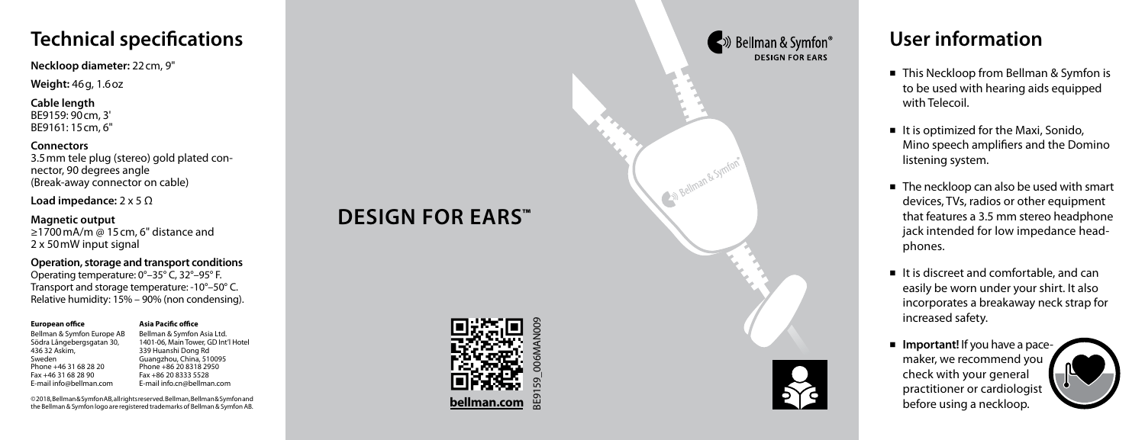# **Technical specifications**

**Neckloop diameter:** 22cm, 9"

**Weight:** 46g, 1.6oz

**Cable length** BE9159: 90cm, 3' BE9161: 15cm, 6"

**Connectors** 3.5mm tele plug (stereo) gold plated con nector, 90 degrees angle (Break-away connector on cable)

**Load impedance:** 2 x 5 Ω

### **Magnetic output**

≥1700mA/m @ 15cm, 6" distance and 2 x 50mW input signal

**Operation, storage and transport conditions** Operating temperature: 0°–35° C, 32°–95° F. Transport and storage temperature: -10°–50° C. Relative humidity: 15% – 90% (non condensing).

> **Asia Pacific office** Bellman & Symfon Asia Ltd. 1401-06, Main Tower, GD Int'l Hotel 339 Huanshi Dong Rd Guangzhou, China, 510095 Phone +86 20 8318 2950 Fax +86 20 8333 5528 E-mail info.cn@bellman.com

#### **European office**

Bellman & Symfon Europe AB Södra Långebergsgatan 30, 436 32 Askim, Sweden Phone +46 31 68 28 20 Fax +46 31 68 28 90 E-mail info@bellman.com

© 2018, Bellman & Symfon AB, all rights reserved. Bellman, Bellman & Symfon and the Bellman & Symfon logo are registered trademarks of Bellman & Symfon AB.

# **DESIGN FOR EARS ™**



## ■ » Bellman & Symfon® **DESIGN FOR FARS**



## **User information**

- This Neckloop from Bellman & Symfon is to be used with hearing aids equipped with Telecoil.
- $\blacksquare$  It is optimized for the Maxi, Sonido, Mino speech amplifiers and the Domino listening system.
- The neckloop can also be used with smart devices, TVs, radios or other equipment that features a 3.5 mm stereo headphone jack intended for low impedance head phones.
- $\blacksquare$  It is discreet and comfortable, and can easily be worn under your shirt. It also incorporates a breakaway neck strap for increased safety.
- **Important!** If you have a pacemaker, we recommend you check with your general practitioner or cardiologist before using a neckloop.